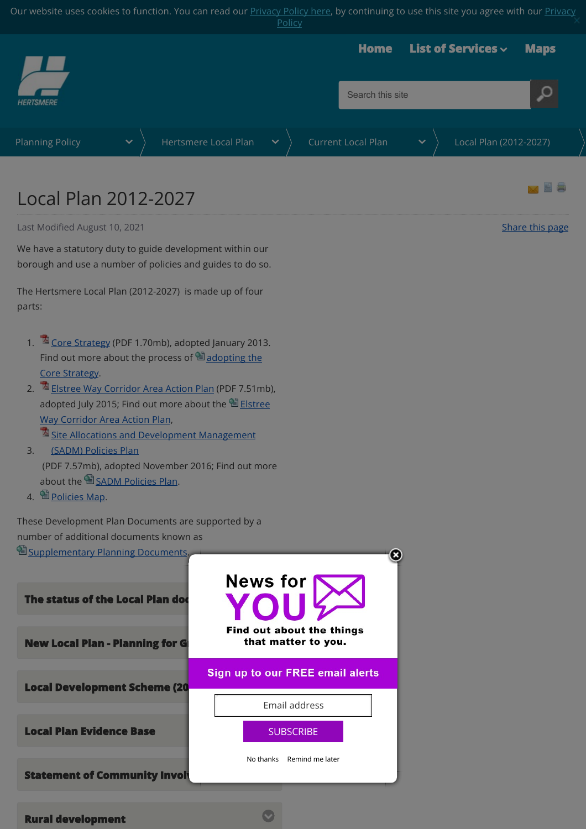Our website uses cookies to function. You can read our **Privacy Policy here**, by continuing to use this site you agree with our **Privacy Policy** 

<span id="page-0-0"></span>

## Local Plan 2012-2027

Last Modified August 10, 2021 **[Share this page](http://www.addthis.com/bookmark.php?v=250&pubid=xa-502e5fd570edcb1e)** and the state of the state of the state of the Share this page

We have a statutory duty to guide development within our borough and use a number of policies and guides to do so.

The Hertsmere Local Plan (2012-2027) is made up of four parts:

- 1.  $\sqrt{2}$  [Core Strategy](https://www.hertsmere.gov.uk/Documents/09-Planning--Building-Control/Planning-Policy/Local-Development-Framework/Core-Strategy-DPD-2013.pdf) (PDF 1.70mb), adopted January 2013. Find out more about the process of  $\blacksquare$  adopting the Core Strategy.
- 2. [Elstree Way Corridor Area Action Plan](https://www.hertsmere.gov.uk/Documents/09-Planning--Building-Control/Planning-Policy/Local-Plan/EWC-AAP-Final-Adopted-Plan.pdf) (PDF 7.51mb), adopted July 2015; Find out more about the 自 Elstree Way Corridor Area Action Plan,
	- **Exted Allocations and Development Management**
- 3. (SADM) Policies Plan (PDF 7.57mb), adopted November 2016; Find out more about the [SADM Policies Plan](https://www.hertsmere.gov.uk/Planning--Building-Control/Planning-Policy/Local-Plan/Current-Local-Plan/Local-Plan-2012-27-SADM-main-page.aspx).
- 4. [Policies Map.](https://www.hertsmere.gov.uk/Planning--Building-Control/Planning-Policy/Local-Plan/Current-Local-Plan/Local-Plan-2012-2027-Policies-Map.aspx)

These Development Plan Documents are supported by a number of additional documents known as

| <b>El Supplementary Planning Documents.</b><br><b>The status of the Local Plan doc</b><br><b>New Local Plan - Planning for G</b> | <b>News for</b><br>YOU<br><b>Find out about the things</b><br>that matter to you. |
|----------------------------------------------------------------------------------------------------------------------------------|-----------------------------------------------------------------------------------|
| <b>Local Development Scheme (20</b>                                                                                              | Sign up to our FREE email alerts<br>Email address                                 |
| <b>Local Plan Evidence Base</b>                                                                                                  | <b>SUBSCRIBE</b>                                                                  |
| <b>Statement of Community Involvement of Community</b>                                                                           | Remind me later<br>No thanks                                                      |

 $\bullet$ 

[Rural development](javascript:;)